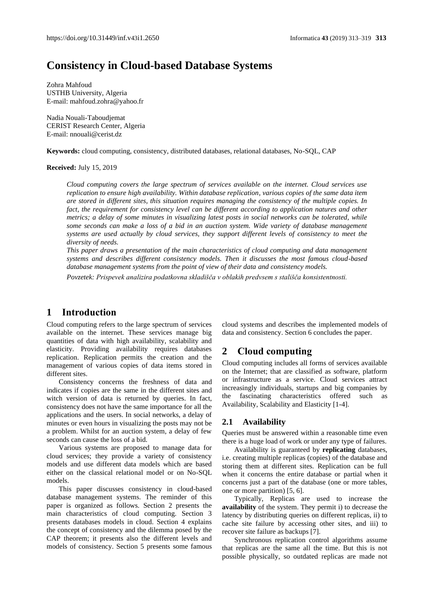# **Consistency in Cloud-based Database Systems**

Zohra Mahfoud USTHB University, Algeria E-mail[: mahfoud.zohra@yahoo.fr](mailto:mahfoud.zohra@yahoo.fr)

Nadia Nouali-Taboudjemat CERIST Research Center, Algeria E-mail[: nnouali@cerist.dz](mailto:nnouali@cerist.dz)

**Keywords:** cloud computing, consistency, distributed databases, relational databases, No-SQL, CAP

#### **Received:** July 15, 2019

*Cloud computing covers the large spectrum of services available on the internet. Cloud services use replication to ensure high availability. Within database replication, various copies of the same data item are stored in different sites, this situation requires managing the consistency of the multiple copies. In fact, the requirement for consistency level can be different according to application natures and other metrics; a delay of some minutes in visualizing latest posts in social networks can be tolerated, while some seconds can make a loss of a bid in an auction system. Wide variety of database management systems are used actually by cloud services, they support different levels of consistency to meet the diversity of needs.*

*This paper draws a presentation of the main characteristics of cloud computing and data management systems and describes different consistency models. Then it discusses the most famous cloud-based database management systems from the point of view of their data and consistency models.*

*Povzetek: Prispevek analizira podatkovna skladišča v oblakih predvsem s stališča konsistentnosti.*

# **1 Introduction**

Cloud computing refers to the large spectrum of services available on the internet. These services manage big quantities of data with high availability, scalability and elasticity. Providing availability requires databases replication. Replication permits the creation and the management of various copies of data items stored in different sites.

Consistency concerns the freshness of data and indicates if copies are the same in the different sites and witch version of data is returned by queries. In fact, consistency does not have the same importance for all the applications and the users. In social networks, a delay of minutes or even hours in visualizing the posts may not be a problem. Whilst for an auction system, a delay of few seconds can cause the loss of a bid.

Various systems are proposed to manage data for cloud services; they provide a variety of consistency models and use different data models which are based either on the classical relational model or on No-SQL models.

This paper discusses consistency in cloud-based database management systems. The reminder of this paper is organized as follows. Section 2 presents the main characteristics of cloud computing. Section 3 presents databases models in cloud. Section 4 explains the concept of consistency and the dilemma posed by the CAP theorem; it presents also the different levels and models of consistency. Section 5 presents some famous

cloud systems and describes the implemented models of data and consistency. Section 6 concludes the paper.

# **2 Cloud computing**

Cloud computing includes all forms of services available on the Internet; that are classified as software, platform or infrastructure as a service. Cloud services attract increasingly individuals, startups and big companies by the fascinating characteristics offered such as Availability, Scalability and Elasticity [1-4].

### **2.1 Availability**

Queries must be answered within a reasonable time even there is a huge load of work or under any type of failures.

Availability is guaranteed by **replicating** databases, i.e. creating multiple replicas (copies) of the database and storing them at different sites. Replication can be full when it concerns the entire database or partial when it concerns just a part of the database (one or more tables, one or more partition) [5, 6].

Typically, Replicas are used to increase the **availability** of the system. They permit i) to decrease the latency by distributing queries on different replicas, ii) to cache site failure by accessing other sites, and iii) to recover site failure as backups [7].

Synchronous replication control algorithms assume that replicas are the same all the time. But this is not possible physically, so outdated replicas are made not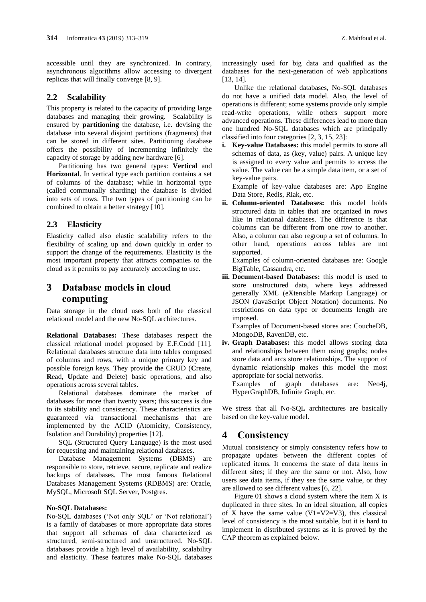accessible until they are synchronized. In contrary, asynchronous algorithms allow accessing to divergent replicas that will finally converge [8, 9].

### **2.2 Scalability**

This property is related to the capacity of providing large databases and managing their growing. Scalability is ensured by **partitioning** the database, i.e. devising the database into several disjoint partitions (fragments) that can be stored in different sites. Partitioning database offers the possibility of incrementing infinitely the capacity of storage by adding new hardware [6].

Partitioning has two general types: **Vertical** and **Horizontal**. In vertical type each partition contains a set of columns of the database; while in horizontal type (called communally sharding) the database is divided into sets of rows. The two types of partitioning can be combined to obtain a better strategy [10].

## **2.3 Elasticity**

Elasticity called also elastic scalability refers to the flexibility of scaling up and down quickly in order to support the change of the requirements. Elasticity is the most important property that attracts companies to the cloud as it permits to pay accurately according to use.

# **3 Database models in cloud computing**

Data storage in the cloud uses both of the classical relational model and the new No-SQL architectures.

**Relational Databases:** These databases respect the classical relational model proposed by E.F.Codd [11]. Relational databases structure data into tables composed of columns and rows, with a unique primary key and possible foreign keys. They provide the CRUD (**C**reate, **R**ead, **U**pdate and **D**elete) basic operations, and also operations across several tables.

Relational databases dominate the market of databases for more than twenty years; this success is due to its stability and consistency. These characteristics are guaranteed via transactional mechanisms that are implemented by the ACID (Atomicity, Consistency, Isolation and Durability) properties [12].

SQL (Structured Query Language) is the most used for requesting and maintaining relational databases.

Database Management Systems (DBMS) are responsible to store, retrieve, secure, replicate and realize backups of databases. The most famous Relational Databases Management Systems (RDBMS) are: Oracle, [MySQL,](https://en.wikipedia.org/wiki/MySQL) [Microsoft SQL Server,](https://en.wikipedia.org/wiki/Microsoft_SQL_Server) Postgres.

#### **No-SQL Databases:**

No-SQL databases ('Not only SQL' or 'Not relational') is a family of databases or more appropriate data stores that support all schemas of data characterized as structured, semi-structured and unstructured. No-SQL databases provide a high level of availability, scalability and elasticity. These features make No-SQL databases increasingly used for big data and qualified as the databases for the next-generation of web applications [13, 14].

Unlike the relational databases, No-SQL databases do not have a unified data model. Also, the level of operations is different; some systems provide only simple read-write operations, while others support more advanced operations. These differences lead to more than one hundred No-SQL databases which are principally classified into four categories [2, 3, 15, 23]:

**i. Key-value Databases:** this model permits to store all schemas of data, as (key, value) pairs. A unique key is assigned to every value and permits to access the value. The value can be a simple data item, or a set of key-value pairs.

Example of key-value databases are: App Engine Data Store, Redis, Riak, etc.

**ii. Column-oriented Databases:** this model holds structured data in tables that are organized in rows like in relational databases. The difference is that columns can be different from one row to another. Also, a column can also regroup a set of columns. In other hand, operations across tables are not supported.

Examples of column-oriented databases are: Google BigTable, Cassandra, etc.

**iii. Document-based Databases:** this model is used to store unstructured data, where keys addressed generally XML (eXtensible Markup Language) or JSON (JavaScript Object Notation) documents. No restrictions on data type or documents length are imposed.

Examples of Document-based stores are: CoucheDB, MongoDB, RavenDB, etc.

**iv. Graph Databases:** this model allows storing data and relationships between them using graphs; nodes store data and arcs store relationships. The support of dynamic relationship makes this model the most appropriate for social networks. Examples of graph databases are: Neo4j,

HyperGraphDB, Infinite Graph, etc.

We stress that all No-SQL architectures are basically based on the key-value model.

# **4 Consistency**

Mutual consistency or simply consistency refers how to propagate updates between the different copies of replicated items. It concerns the state of data items in different sites; if they are the same or not. Also, how users see data items, if they see the same value, or they are allowed to see different values [6, 22].

Figure 01 shows a cloud system where the item X is duplicated in three sites. In an ideal situation, all copies of X have the same value  $(V1=V2=V3)$ , this classical level of consistency is the most suitable, but it is hard to implement in distributed systems as it is proved by the CAP theorem as explained below.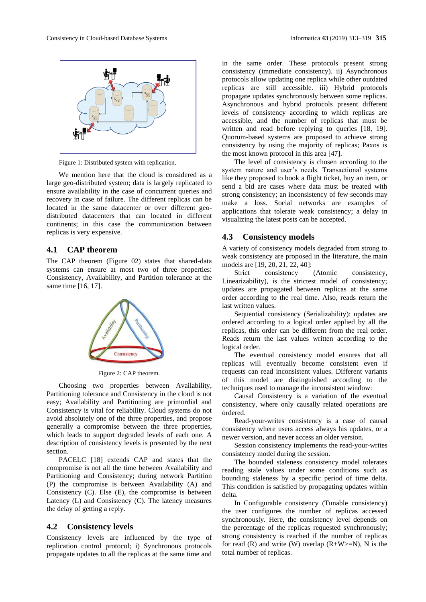

Figure 1: Distributed system with replication.

We mention here that the cloud is considered as a large geo-distributed system; data is largely replicated to ensure availability in the case of concurrent queries and recovery in case of failure. The different replicas can be located in the same datacenter or over different geodistributed datacenters that can located in different continents; in this case the communication between replicas is very expensive.

## **4.1 CAP theorem**

The CAP theorem (Figure 02) states that shared-data systems can ensure at most two of three properties: Consistency, Availability, and Partition tolerance at the same time [16, 17].



Figure 2: CAP theorem.

Choosing two properties between Availability, Partitioning tolerance and Consistency in the cloud is not easy; Availability and Partitioning are primordial and Consistency is vital for reliability. Cloud systems do not avoid absolutely one of the three properties, and propose generally a compromise between the three properties, which leads to support degraded levels of each one. A description of consistency levels is presented by the next section.

PACELC [18] extends CAP and states that the compromise is not all the time between Availability and Partitioning and Consistency; during network Partition (P) the compromise is between Availability (A) and Consistency (C). Else (E), the compromise is between Latency (L) and Consistency (C). The latency measures the delay of getting a reply.

#### **4.2 Consistency levels**

Consistency levels are influenced by the type of replication control protocol; i) Synchronous protocols propagate updates to all the replicas at the same time and

in the same order. These protocols present strong consistency (immediate consistency). ii) Asynchronous protocols allow updating one replica while other outdated replicas are still accessible. iii) Hybrid protocols propagate updates synchronously between some replicas. Asynchronous and hybrid protocols present different levels of consistency according to which replicas are accessible, and the number of replicas that must be written and read before replying to queries [18, 19]. Quorum-based systems are proposed to achieve strong consistency by using the majority of replicas; Paxos is the most known protocol in this area [47].

The level of consistency is chosen according to the system nature and user's needs. Transactional systems like they proposed to book a flight ticket, buy an item, or send a bid are cases where data must be treated with strong consistency; an inconsistency of few seconds may make a loss. Social networks are examples of applications that tolerate weak consistency; a delay in visualizing the latest posts can be accepted.

#### **4.3 Consistency models**

A variety of consistency models degraded from strong to weak consistency are proposed in the literature, the main models are [19, 20, 21, 22, 40]:

Strict consistency (Atomic consistency, Linearizability), is the strictest model of consistency; updates are propagated between replicas at the same order according to the real time. Also, reads return the last written values.

Sequential consistency (Serializability): updates are ordered according to a logical order applied by all the replicas, this order can be different from the real order. Reads return the last values written according to the logical order.

The eventual consistency model ensures that all replicas will eventually become consistent even if requests can read inconsistent values. Different variants of this model are distinguished according to the techniques used to manage the inconsistent window:

Causal Consistency is a variation of the eventual consistency, where only causally related operations are ordered.

Read-your-writes consistency is a case of causal consistency where users access always his updates, or a newer version, and never access an older version.

Session consistency implements the read-your-writes consistency model during the session.

The bounded staleness consistency model tolerates reading stale values under some conditions such as bounding staleness by a specific period of time delta. This condition is satisfied by propagating updates within delta.

In Configurable consistency (Tunable consistency) the user configures the number of replicas accessed synchronously. Here, the consistency level depends on the percentage of the replicas requested synchronously; strong consistency is reached if the number of replicas for read (R) and write (W) overlap  $(R+W>=N)$ , N is the total number of replicas.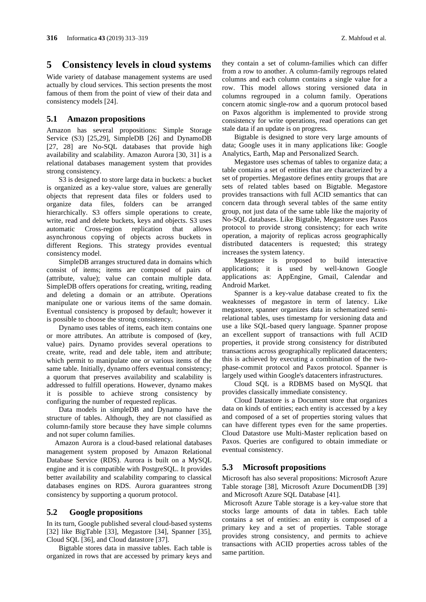## **5 Consistency levels in cloud systems**

Wide variety of database management systems are used actually by cloud services. This section presents the most famous of them from the point of view of their data and consistency models [24].

### **5.1 Amazon propositions**

Amazon has several propositions: Simple Storage Service (S3) [25,29], SimpleDB [26] and DynamoDB [27, 28] are No-SOL databases that provide high availability and scalability. Amazon Aurora [30, 31] is a relational databases management system that provides strong consistency.

S3 is designed to store large data in buckets: a bucket is organized as a key-value store, values are generally objects that represent data files or folders used to organize data files, folders can be arranged hierarchically. S3 offers simple operations to create, write, read and delete buckets, keys and objects. S3 uses automatic Cross-region replication that allows asynchronous copying of objects across buckets in different Regions. This strategy provides eventual consistency model.

SimpleDB arranges structured data in domains which consist of items; items are composed of pairs of (attribute, value); value can contain multiple data. SimpleDB offers operations for creating, writing, reading and deleting a domain or an attribute. Operations manipulate one or various items of the same domain. Eventual consistency is proposed by default; however it is possible to choose the strong consistency.

Dynamo uses tables of items, each item contains one or more attributes. An attribute is composed of (key, value) pairs. Dynamo provides several operations to create, write, read and dele table, item and attribute; which permit to manipulate one or various items of the same table. Initially, dynamo offers eventual consistency; a quorum that preserves availability and scalability is addressed to fulfill operations. However, dynamo makes it is possible to achieve strong consistency by configuring the number of requested replicas.

Data models in simpleDB and Dynamo have the structure of tables. Although, they are not classified as column-family store because they have simple columns and not super column families.

Amazon Aurora is a cloud-based relational databases management system proposed by Amazon Relational Database Service (RDS). Aurora is built on a MySQL engine and it is compatible with PostgreSQL. It provides better availability and scalability comparing to classical databases engines on RDS. Aurora guarantees strong consistency by supporting a quorum protocol.

### **5.2 Google propositions**

In its turn, Google published several cloud-based systems [32] like BigTable [33], Megastore [34], Spanner [35], Cloud SQL [36], and Cloud datastore [37].

Bigtable stores data in massive tables. Each table is organized in rows that are accessed by primary keys and they contain a set of column-families which can differ from a row to another. A column-family regroups related columns and each column contains a single value for a row. This model allows storing versioned data in columns regrouped in a column family. Operations concern atomic single-row and a quorum protocol based on Paxos algorithm is implemented to provide strong consistency for write operations, read operations can get stale data if an update is on progress.

Bigtable is designed to store very large amounts of data; Google uses it in many applications like: Google Analytics, Earth, Map and Personalized Search.

Megastore uses schemas of tables to organize data; a table contains a set of entities that are characterized by a set of properties. Megastore defines entity groups that are sets of related tables based on Bigtable. Megastore provides transactions with full ACID semantics that can concern data through several tables of the same entity group, not just data of the same table like the majority of No-SQL databases. Like Bigtable, Megastore uses Paxos protocol to provide strong consistency; for each write operation, a majority of replicas across geographically distributed datacenters is requested; this strategy increases the system latency.

Megastore is proposed to build interactive applications; it is used by well-known Google applications as: AppEngine, Gmail, Calendar and Android Market.

Spanner is a key-value database created to fix the weaknesses of megastore in term of latency. Like megastore, spanner organizes data in schematized semirelational tables, uses timestamp for versioning data and use a like SQL-based query language. Spanner propose an excellent support of transactions with full ACID properties, it provide strong consistency for distributed transactions across geographically replicated datacenters; this is achieved by executing a combination of the twophase-commit protocol and Paxos protocol. Spanner is largely used within Google's datacenters infrastructures.

Cloud SQL is a RDBMS based on MySQL that provides classically immediate consistency.

Cloud Datastore is a [Document store](http://db-engines.com/en/article/Document+Stores) that organizes data on kinds of entities; each entity is accessed by a key and composed of a set of properties storing values that can have different types even for the same properties. Cloud Datastore use Multi-Master replication based on Paxos. Queries are configured to obtain immediate or eventual consistency.

### **5.3 Microsoft propositions**

Microsoft has also several propositions: Microsoft Azure Table storage [38], Microsoft Azure DocumentDB [39] and Microsoft Azure SQL Database [41].

Microsoft Azure Table storage is a key-value store that stocks large amounts of data in tables. Each table contains a set of entities: an entity is composed of a primary key and a set of properties. Table storage provides strong consistency, and permits to achieve transactions with ACID properties across tables of the same partition.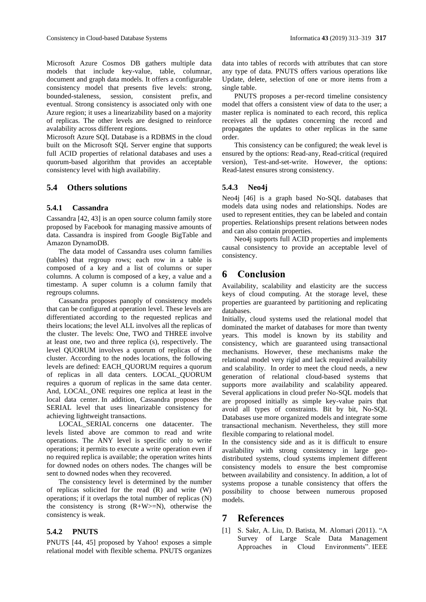Microsoft Azure Cosmos DB gathers multiple data models that include key-value, table, columnar, document and graph data models. It offers a configurable consistency model that presents five levels: strong, bounded-staleness, session, consistent prefix, and eventual. Strong consistency is associated only with one Azure region; it uses a linearizability based on a majority of replicas. The other levels are designed to reinforce

avalability across different regions.

Microsoft Azure SQL Database is a RDBMS in the cloud built on the Microsoft SQL Server engine that supports full ACID properties of relational databases and uses a quorum-based algorithm that provides an acceptable consistency level with high availability.

## **5.4 Others solutions**

## **5.4.1 Cassandra**

Cassandra [42, 43] is an open source column family store proposed by Facebook for managing massive amounts of data. Cassandra is inspired from Google BigTable and Amazon DynamoDB.

The data model of Cassandra uses column families (tables) that regroup rows; each row in a table is composed of a key and a list of columns or super columns. A column is composed of a key, a value and a timestamp. A super column is a column family that regroups columns.

Cassandra proposes panoply of consistency models that can be configured at operation level. These levels are differentiated according to the requested replicas and theirs locations; the level ALL involves all the replicas of the cluster. The levels: One, TWO and THREE involve at least one, two and three replica (s), respectively. The level QUORUM involves a quorum of replicas of the cluster. According to the nodes locations, the following levels are defined: EACH\_QUORUM requires a quorum of replicas in all [data centers](https://docs.datastax.com/en/glossary/doc/glossary/gloss_data_center.html). LOCAL\_QUORUM requires a quorum of replicas in the same data center. And, LOCAL\_ONE requires one replica at least in the local data center. In addition, Cassandra proposes the SERIAL level that uses linearizable consistency for achieving lightweight transactions.

LOCAL\_SERIAL concerns one datacenter. The levels listed above are common to read and write operations. The ANY level is specific only to write operations; it permits to execute a write operation even if no required replica is available; the operation writes hints for downed nodes on others nodes. The changes will be sent to downed nodes when they recovered.

The consistency level is determined by the number of replicas solicited for the read (R) and write (W) operations; if it overlaps the total number of replicas (N) the consistency is strong  $(R+W>=N)$ , otherwise the consistency is weak.

## **5.4.2 PNUTS**

PNUTS [44, 45] proposed by Yahoo! exposes a simple relational model with flexible schema. PNUTS organizes

data into tables of records with attributes that can store any type of data. PNUTS offers various operations like Update, delete, selection of one or more items from a single table.

PNUTS proposes a per-record timeline consistency model that offers a consistent view of data to the user; a master replica is nominated to each record, this replica receives all the updates concerning the record and propagates the updates to other replicas in the same order.

This consistency can be configured; the weak level is ensured by the options: Read-any, Read-critical (required version), Test-and-set-write. However, the options: Read-latest ensures strong consistency.

## **5.4.3 Neo4j**

Neo4j [46] is a graph based No-SQL databases that models data using nodes and relationships. Nodes are used to represent entities, they can be labeled and contain properties. Relationships present relations between nodes and can also contain properties.

Neo4j supports full ACID properties and implements causal consistency to provide an acceptable level of consistency.

# **6 Conclusion**

Availability, scalability and elasticity are the success keys of cloud computing. At the storage level, these properties are guaranteed by partitioning and replicating databases.

Initially, cloud systems used the relational model that dominated the market of databases for more than twenty years. This model is known by its stability and consistency, which are guaranteed using transactional mechanisms. However, these mechanisms make the relational model very rigid and lack required availability and scalability. In order to meet the cloud needs, a new generation of relational cloud-based systems that supports more availability and scalability appeared. Several applications in cloud prefer No-SQL models that are proposed initially as simple key-value pairs that avoid all types of constraints. Bit by bit, No-SQL Databases use more organized models and integrate some transactional mechanism. Nevertheless, they still more flexible comparing to relational model.

In the consistency side and as it is difficult to ensure availability with strong consistency in large geodistributed systems, cloud systems implement different consistency models to ensure the best compromise between availability and consistency. In addition, a lot of systems propose a tunable consistency that offers the possibility to choose between numerous proposed models.

# **7 References**

[1] S. Sakr, A. Liu, D. Batista, M. Alomari (2011). "A Survey of Large Scale Data Management Approaches in Cloud Environments". IEEE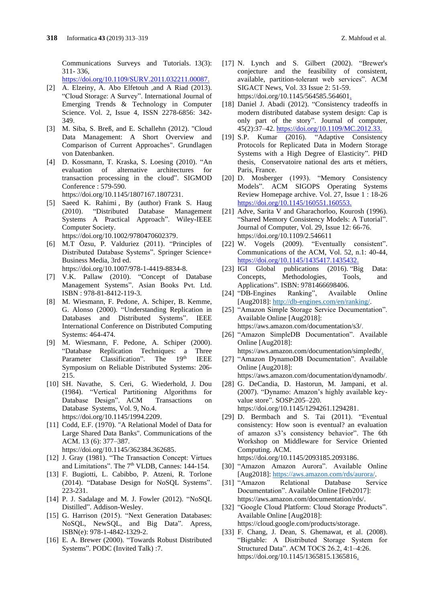Communications Surveys and Tutorials. 13(3): 311- 336,

https://doi.org/10.1109/SURV.2011.032211.00087.

- [2] A. Elzeiny, A. Abo Elfetouh ,and A Riad (2013). "Cloud Storage: A Survey". International Journal of Emerging Trends & Technology in Computer Science. Vol. 2, Issue 4, ISSN 2278-6856: 342- 349.
- [3] M. Siba, S. Breß, and E. Schallehn (2012). "Cloud Data Management: A Short Overview and Comparison of Current Approaches". Grundlagen von Datenbanken.
- [4] D. Kossmann, T. Kraska, S. Loesing (2010). "An evaluation of alternative architectures for transaction processing in the cloud". SIGMOD Conference : 579-590. [https://doi.org/10.1145/1807167.1807231.](https://doi.org/10.1145/1807167.1807231)
- [5] [Saeed K. Rahimi](https://www.bookdepository.com/author/Saeed-K-Rahimi) , By (author) [Frank S. Haug](https://www.bookdepository.com/author/Frank-S-Haug) (2010). "Distributed Database Management Systems A Practical Approach". Wiley-IEEE Computer Society. [https://doi.org/10.1002/9780470602379.](https://doi.org/10.1002/9780470602379)
- [6] M.T Özsu, P. Valduriez (2011). "Principles of Distributed Database Systems". Springer Science+ Business Media, 3rd ed. [https://doi.org/10.1007/978-1-4419-8834-8.](https://doi.org/10.1007/978-1-4419-8834-8)
- [7] V.K. Pallaw (2010). "Concept of Database Management Systems". Asian Books Pvt. Ltd. ISBN : 978-81-8412-119-3.
- [8] M. Wiesmann, F. Pedone, A. Schiper, B. Kemme, G. Alonso (2000). "Understanding Replication in Databases and Distributed Systems". IEEE International Conference on Distributed Computing Systems: 464-474.
- [9] M. Wiesmann, F. Pedone, A. Schiper (2000). "Database Replication Techniques: a Three Parameter Classification". The 19<sup>th</sup> IEEE Symposium on Reliable Distributed Systems: 206- 215.
- [10] SH. Navathe, S. Ceri, G. Wiederhold, J. Dou (1984). "Vertical Partitioning Algorithms for Database Design". ACM Transactions on Database Systems, Vol. 9, No.4. [https://doi.org/10.1145/1994.2209.](https://doi.org/10.1145/1994.2209)
- [11] Codd, E.F. (1970). "A Relational Model of Data for Large Shared Data Banks". Communications of the ACM. 13 (6): 377–387. [https://doi.org/10.1145/362384.362685.](https://doi.org/10.1145/362384.362685)
- [12] J. Gray (1981). "The Transaction Concept: Virtues and Limitations". The 7<sup>th</sup> VLDB, Cannes: 144-154.
- [13] F. Bugiotti, L. Cabibbo, P. Atzeni, R. Torlone (2014). "Database Design for NoSQL Systems". 223-231.
- [14] P. J. Sadalage and M. J. Fowler (2012). "NoSQL Distilled". Addison-Wesley.
- [15] G. Harrison (2015). "Next Generation Databases: NoSQL, NewSQL, and Big Data". Apress, ISBN(e): 978-1-4842-1329-2.
- [16] E. A. Brewer (2000). "Towards Robust Distributed Systems". PODC (Invited Talk) :7.
- [17] N. Lynch and S. Gilbert (2002). "Brewer's conjecture and the feasibility of consistent, available, partition-tolerant web services". ACM SIGACT News, Vol. 33 Issue 2: 51-59. [https://doi.org/10.1145/564585.564601.](https://doi.org/10.1145/564585.564601)
- [18] Daniel J. Abadi (2012). "Consistency tradeoffs in modern distributed database system design: Cap is only part of the story". Journal of computer, 45(2):37–42. [https://doi.org/10.1109/MC.2012.33.](https://doi.org/10.1109/MC.2012.33)
- [19] S.P. Kumar (2016). "Adaptive Consistency Protocols for Replicated Data in Modern Storage Systems with a High Degree of Elasticity". PHD thesis, Conservatoire national des arts et métiers, Paris, France.
- [20] D. Mosberger (1993). "Memory Consistency Models". ACM SIGOPS Operating Systems Review Homepage archive. Vol. 27, Issue 1 : 18-26 [https://doi.org/10.1145/160551.160553.](https://doi.org/10.1145/160551.160553)
- [21] Adve, Sarita V and Gharachorloo, Kourosh (1996). "Shared Memory Consistency Models: A Tutorial". Journal of Computer, Vol. 29, Issue 12: 66-76. <https://doi.org/10.1109/2.546611>
- [22] W. Vogels (2009). "Eventually consistent". Communications of the ACM, Vol. 52, n.1: 40-44, [https://doi.org/10.1145/1435417.1435432.](https://doi.org/10.1145/1435417.1435432)
- [23] IGI Global publications (2016). "Big Data: Concepts, Methodologies, Tools, and Applications". ISBN: 9781466698406.
- [24] "DB-Engines Ranking", Available Online [Aug2018]: [http://db-engines.com/en/ranking/.](http://db-engines.com/en/ranking/)
- [25] "Amazon Simple Storage Service Documentation". Available Online [Aug2018]: [https://aws.amazon.com/documentation/s3/.](https://aws.amazon.com/documentation/s3/)
- [26] "Amazon SimpleDB Documentation". Available Online [Aug2018]:
- [https://aws.amazon.com/documentation/simpledb/.](https://aws.amazon.com/documentation/simpledb/) [27] "Amazon DynamoDB Documentation". Available Online [Aug2018]:

[https://aws.amazon.com/documentation/dynamodb/.](https://aws.amazon.com/documentation/dynamodb/)

- [28] G. DeCandia, D. Hastorun, M. Jampani, et al. (2007). "Dynamo: Amazon's highly available keyvalue store". SOSP:205–220. [https://doi.org/10.1145/1294261.1294281.](https://doi.org/10.1145/1294261.1294281)
- [29] D. Bermbach and S. Tai (2011). "Eventual consistency: How soon is eventual? an evaluation of amazon s3's consistency behavior". The 6th Workshop on Middleware for Service Oriented Computing. ACM.

[https://doi.org/10.1145/2093185.2093186.](https://doi.org/10.1145/2093185.2093186)

- [30] "Amazon Amazon Aurora". Available Online [Aug2018]: [https://aws.amazon.com/rds/aurora/.](https://aws.amazon.com/rds/aurora/)
- [31] "Amazon Relational Database Service Documentation". Available Online [Feb2017]: [https://aws.amazon.com/documentation/rds/.](https://aws.amazon.com/documentation/rds/)
- [32] "Google Cloud Platform: Cloud Storage Products". Available Online [Aug2018]: [https://cloud.google.com/products/storage.](https://cloud.google.com/products/storage)
- [33] F. Chang, J. Dean, S. Ghemawat, et al. (2008). "Bigtable: A Distributed Storage System for Structured Data". ACM TOCS 26.2, 4:1–4:26. [https://doi.org/10.1145/1365815.1365816.](https://doi.org/10.1145/1365815.1365816)